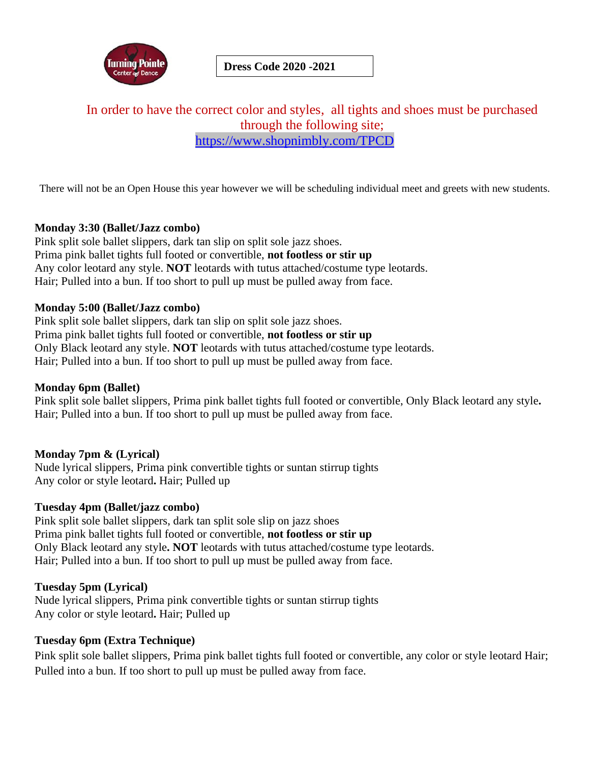

**Dress Code 2020 -2021**

## In order to have the correct color and styles, all tights and shoes must be purchased through the following site; <https://www.shopnimbly.com/TPCD>

There will not be an Open House this year however we will be scheduling individual meet and greets with new students.

## **Monday 3:30 (Ballet/Jazz combo)**

Pink split sole ballet slippers, dark tan slip on split sole jazz shoes. Prima pink ballet tights full footed or convertible, **not footless or stir up** Any color leotard any style. **NOT** leotards with tutus attached/costume type leotards. Hair; Pulled into a bun. If too short to pull up must be pulled away from face.

## **Monday 5:00 (Ballet/Jazz combo)**

Pink split sole ballet slippers, dark tan slip on split sole jazz shoes. Prima pink ballet tights full footed or convertible, **not footless or stir up** Only Black leotard any style. **NOT** leotards with tutus attached/costume type leotards. Hair; Pulled into a bun. If too short to pull up must be pulled away from face.

#### **Monday 6pm (Ballet)**

Pink split sole ballet slippers, Prima pink ballet tights full footed or convertible, Only Black leotard any style**.**  Hair; Pulled into a bun. If too short to pull up must be pulled away from face.

## **Monday 7pm & (Lyrical)**

Nude lyrical slippers, Prima pink convertible tights or suntan stirrup tights Any color or style leotard**.** Hair; Pulled up

#### **Tuesday 4pm (Ballet/jazz combo)**

Pink split sole ballet slippers, dark tan split sole slip on jazz shoes Prima pink ballet tights full footed or convertible, **not footless or stir up** Only Black leotard any style**. NOT** leotards with tutus attached/costume type leotards. Hair; Pulled into a bun. If too short to pull up must be pulled away from face.

#### **Tuesday 5pm (Lyrical)**

Nude lyrical slippers, Prima pink convertible tights or suntan stirrup tights Any color or style leotard**.** Hair; Pulled up

#### **Tuesday 6pm (Extra Technique)**

Pink split sole ballet slippers, Prima pink ballet tights full footed or convertible, any color or style leotard Hair; Pulled into a bun. If too short to pull up must be pulled away from face.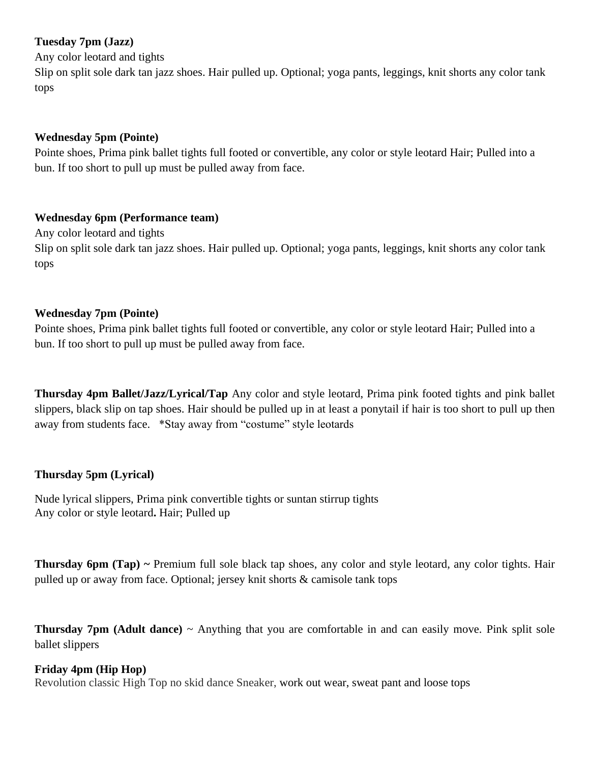## **Tuesday 7pm (Jazz)**

Any color leotard and tights

Slip on split sole dark tan jazz shoes. Hair pulled up. Optional; yoga pants, leggings, knit shorts any color tank tops

#### **Wednesday 5pm (Pointe)**

Pointe shoes, Prima pink ballet tights full footed or convertible, any color or style leotard Hair; Pulled into a bun. If too short to pull up must be pulled away from face.

## **Wednesday 6pm (Performance team)**

Any color leotard and tights

Slip on split sole dark tan jazz shoes. Hair pulled up. Optional; yoga pants, leggings, knit shorts any color tank tops

## **Wednesday 7pm (Pointe)**

Pointe shoes, Prima pink ballet tights full footed or convertible, any color or style leotard Hair; Pulled into a bun. If too short to pull up must be pulled away from face.

**Thursday 4pm Ballet/Jazz/Lyrical/Tap** Any color and style leotard, Prima pink footed tights and pink ballet slippers, black slip on tap shoes. Hair should be pulled up in at least a ponytail if hair is too short to pull up then away from students face. \*Stay away from "costume" style leotards

## **Thursday 5pm (Lyrical)**

Nude lyrical slippers, Prima pink convertible tights or suntan stirrup tights Any color or style leotard**.** Hair; Pulled up

**Thursday 6pm (Tap) ~** Premium full sole black tap shoes, any color and style leotard, any color tights. Hair pulled up or away from face. Optional; jersey knit shorts & camisole tank tops

**Thursday 7pm (Adult dance)** ~ Anything that you are comfortable in and can easily move. Pink split sole ballet slippers

#### **Friday 4pm (Hip Hop)**

Revolution classic High Top no skid dance Sneaker, work out wear, sweat pant and loose tops